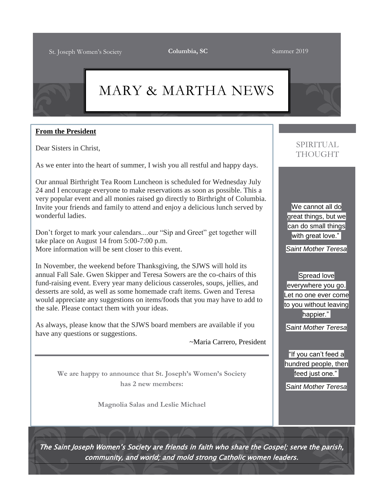# MARY & MARTHA NEWS

#### **From the President**

Dear Sisters in Christ,

As we enter into the heart of summer, I wish you all restful and happy days.

Our annual Birthright Tea Room Luncheon is scheduled for Wednesday July 24 and I encourage everyone to make reservations as soon as possible. This a very popular event and all monies raised go directly to Birthright of Columbia. Invite your friends and family to attend and enjoy a delicious lunch served by wonderful ladies.

Don't forget to mark your calendars....our "Sip and Greet" get together will take place on August 14 from 5:00-7:00 p.m. More information will be sent closer to this event.

In November, the weekend before Thanksgiving, the SJWS will hold its annual Fall Sale. Gwen Skipper and Teresa Sowers are the co-chairs of this fund-raising event. Every year many delicious casseroles, soups, jellies, and desserts are sold, as well as some homemade craft items. Gwen and Teresa would appreciate any suggestions on items/foods that you may have to add to the sale. Please contact them with your ideas.

As always, please know that the SJWS board members are available if you have any questions or suggestions.

~Maria Carrero, President

**We are happy to announce that St. Joseph's Women's Society has 2 new members:**

**Magnolia Salas and Leslie Michael**

## SPIRITUAL THOUGHT

We cannot all do great things, but we can do small things with great love."

*Saint Mother Teresa*

Spread love everywhere you go. Let no one ever come to you without leaving happier."

*Saint Mother Teresa*

"If you can't feed a hundred people, then feed just one."

*Saint Mother Teresa*

The Saint Joseph Women's Society are friends in faith who share the Gospel; serve the parish, community, and world; and mold strong Catholic women leaders.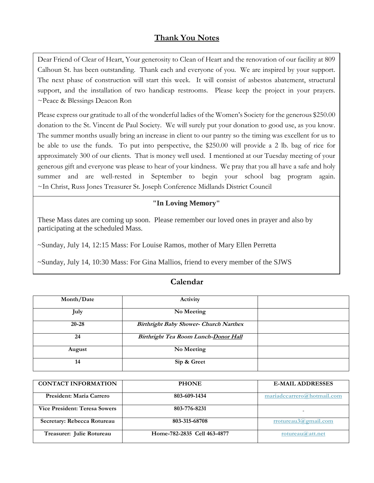### **Thank You Notes**

Dear Friend of Clear of Heart, Your generosity to Clean of Heart and the renovation of our facility at 809 Calhoun St. has been outstanding. Thank each and everyone of you. We are inspired by your support. The next phase of construction will start this week. It will consist of asbestos abatement, structural support, and the installation of two handicap restrooms. Please keep the project in your prayers. ~Peace & Blessings Deacon Ron

Please express our gratitude to all of the wonderful ladies of the Women's Society for the generous \$250.00 donation to the St. Vincent de Paul Society. We will surely put your donation to good use, as you know. The summer months usually bring an increase in client to our pantry so the timing was excellent for us to be able to use the funds. To put into perspective, the \$250.00 will provide a 2 lb. bag of rice for approximately 300 of our clients. That is money well used. I mentioned at our Tuesday meeting of your generous gift and everyone was please to hear of your kindness. We pray that you all have a safe and holy summer and are well-rested in September to begin your school bag program again. ~In Christ, Russ Jones Treasurer St. Joseph Conference Midlands District Council

#### **"In Loving Memory"**

These Mass dates are coming up soon. Please remember our loved ones in prayer and also by participating at the scheduled Mass.

~Sunday, July 14, 12:15 Mass: For Louise Ramos, mother of Mary Ellen Perretta

~Sunday, July 14, 10:30 Mass: For Gina Mallios, friend to every member of the SJWS

| Month/Date | Activity                                      |  |
|------------|-----------------------------------------------|--|
| July       | No Meeting                                    |  |
| $20 - 28$  | <b>Birthright Baby Shower- Church Narthex</b> |  |
| 24         | Birthright Tea Room Lunch-Donor Hall          |  |
| August     | No Meeting                                    |  |
| 14         | Sip & Greet                                   |  |

#### **Calendar**

| <b>CONTACT INFORMATION</b>           | <b>PHONE</b>                | <b>E-MAIL ADDRESSES</b>    |
|--------------------------------------|-----------------------------|----------------------------|
| President: Maria Carrero             | 803-609-1434                | mariadccarrero@hotmail.com |
| <b>Vice President: Teresa Sowers</b> | 803-776-8231                |                            |
| Secretary: Rebecca Rotureau          | 803-315-68708               | rrotureau3@gmail.com       |
| Treasurer: Julie Rotureau            | Home-782-2835 Cell 463-4877 | rotureau( $a$ ) att.net    |